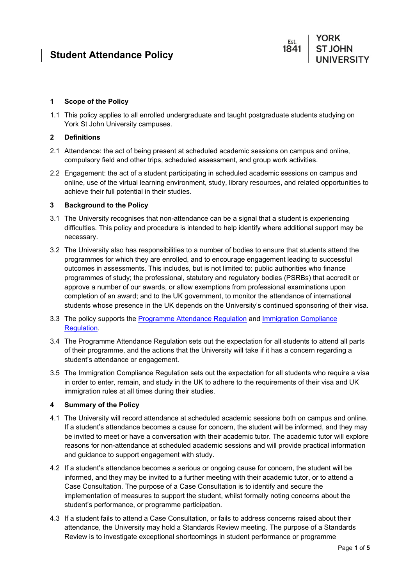### **1 Scope of the Policy**

1.1 This policy applies to all enrolled undergraduate and taught postgraduate students studying on York St John University campuses.

## **2 Definitions**

- 2.1 Attendance: the act of being present at scheduled academic sessions on campus and online, compulsory field and other trips, scheduled assessment, and group work activities.
- 2.2 Engagement: the act of a student participating in scheduled academic sessions on campus and online, use of the virtual learning environment, study, library resources, and related opportunities to achieve their full potential in their studies.

## **3 Background to the Policy**

- 3.1 The University recognises that non-attendance can be a signal that a student is experiencing difficulties. This policy and procedure is intended to help identify where additional support may be necessary.
- 3.2 The University also has responsibilities to a number of bodies to ensure that students attend the programmes for which they are enrolled, and to encourage engagement leading to successful outcomes in assessments. This includes, but is not limited to: public authorities who finance programmes of study; the professional, statutory and regulatory bodies (PSRBs) that accredit or approve a number of our awards, or allow exemptions from professional examinations upon completion of an award; and to the UK government, to monitor the attendance of international students whose presence in the UK depends on the University's continued sponsoring of their visa.
- 3.3 The policy supports the [Programme Attendance Regulation](https://www.yorksj.ac.uk/media/content-assets/registry/regulations/Regulations-Programme-Attendance-202021-V1.pdf) and [Immigration Compliance](https://www.yorksj.ac.uk/media/content-assets/registry/regulations/Immigration-Compliance-Regulation-202021-V1.pdf)  [Regulation.](https://www.yorksj.ac.uk/media/content-assets/registry/regulations/Immigration-Compliance-Regulation-202021-V1.pdf)
- 3.4 The Programme Attendance Regulation sets out the expectation for all students to attend all parts of their programme, and the actions that the University will take if it has a concern regarding a student's attendance or engagement.
- 3.5 The Immigration Compliance Regulation sets out the expectation for all students who require a visa in order to enter, remain, and study in the UK to adhere to the requirements of their visa and UK immigration rules at all times during their studies.

# **4 Summary of the Policy**

- <span id="page-0-0"></span>4.1 The University will record attendance at scheduled academic sessions both on campus and online. If a student's attendance becomes a cause for concern, the student will be informed, and they may be invited to meet or have a conversation with their academic tutor. The academic tutor will explore reasons for non-attendance at scheduled academic sessions and will provide practical information and guidance to support engagement with study.
- <span id="page-0-1"></span>4.2 If a student's attendance becomes a serious or ongoing cause for concern, the student will be informed, and they may be invited to a further meeting with their academic tutor, or to attend a Case Consultation. The purpose of a Case Consultation is to identify and secure the implementation of measures to support the student, whilst formally noting concerns about the student's performance, or programme participation.
- <span id="page-0-2"></span>4.3 If a student fails to attend a Case Consultation, or fails to address concerns raised about their attendance, the University may hold a Standards Review meeting. The purpose of a Standards Review is to investigate exceptional shortcomings in student performance or programme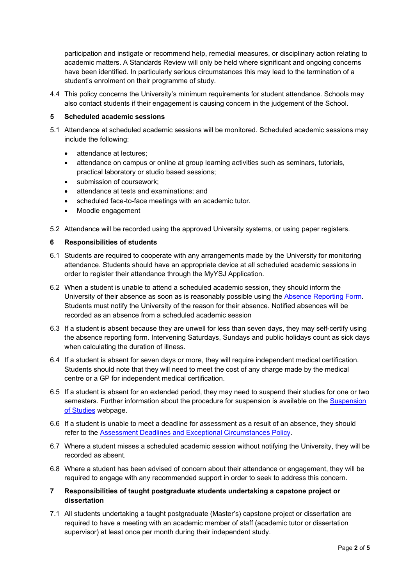participation and instigate or recommend help, remedial measures, or disciplinary action relating to academic matters. A Standards Review will only be held where significant and ongoing concerns have been identified. In particularly serious circumstances this may lead to the termination of a student's enrolment on their programme of study.

4.4 This policy concerns the University's minimum requirements for student attendance. Schools may also contact students if their engagement is causing concern in the judgement of the School.

#### **5 Scheduled academic sessions**

- 5.1 Attendance at scheduled academic sessions will be monitored. Scheduled academic sessions may include the following:
	- attendance at lectures;
	- attendance on campus or online at group learning activities such as seminars, tutorials, practical laboratory or studio based sessions;
	- submission of coursework:
	- attendance at tests and examinations; and
	- scheduled face-to-face meetings with an academic tutor.
	- Moodle engagement

5.2 Attendance will be recorded using the approved University systems, or using paper registers.

#### **6 Responsibilities of students**

- 6.1 Students are required to cooperate with any arrangements made by the University for monitoring attendance. Students should have an appropriate device at all scheduled academic sessions in order to register their attendance through the MyYSJ Application.
- 6.2 When a student is unable to attend a scheduled academic session, they should inform the University of their absence as soon as is reasonably possible using the [Absence Reporting Form.](https://www.yorksj.ac.uk/schools/school-admin/reporting-absence/) Students must notify the University of the reason for their absence. Notified absences will be recorded as an absence from a scheduled academic session
- 6.3 If a student is absent because they are unwell for less than seven days, they may self-certify using the absence reporting form. Intervening Saturdays, Sundays and public holidays count as sick days when calculating the duration of illness.
- 6.4 If a student is absent for seven days or more, they will require independent medical certification. Students should note that they will need to meet the cost of any charge made by the medical centre or a GP for independent medical certification.
- 6.5 If a student is absent for an extended period, they may need to suspend their studies for one or two semesters. Further information about the procedure for suspension is available on the [Suspension](https://www.yorksj.ac.uk/ssr/your-student-record-/suspension-of-studies/)  [of Studies](https://www.yorksj.ac.uk/ssr/your-student-record-/suspension-of-studies/) webpage.
- 6.6 If a student is unable to meet a deadline for assessment as a result of an absence, they should refer to the [Assessment Deadlines and Exceptional Circumstances Policy.](https://www.yorksj.ac.uk/ssr/policies-and-regulations-/exceptional-circumstances/)
- 6.7 Where a student misses a scheduled academic session without notifying the University, they will be recorded as absent.
- 6.8 Where a student has been advised of concern about their attendance or engagement, they will be required to engage with any recommended support in order to seek to address this concern.
- **7 Responsibilities of taught postgraduate students undertaking a capstone project or dissertation**
- 7.1 All students undertaking a taught postgraduate (Master's) capstone project or dissertation are required to have a meeting with an academic member of staff (academic tutor or dissertation supervisor) at least once per month during their independent study.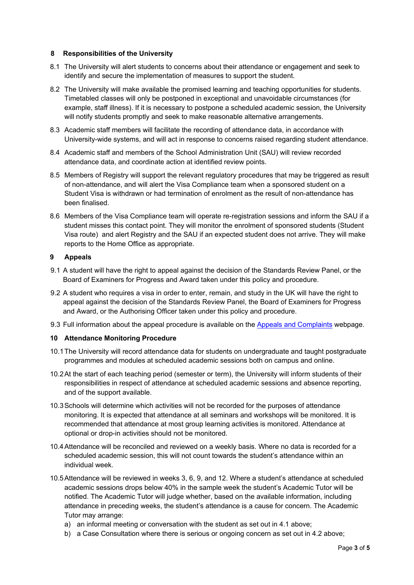#### **8 Responsibilities of the University**

- 8.1 The University will alert students to concerns about their attendance or engagement and seek to identify and secure the implementation of measures to support the student.
- 8.2 The University will make available the promised learning and teaching opportunities for students. Timetabled classes will only be postponed in exceptional and unavoidable circumstances (for example, staff illness). If it is necessary to postpone a scheduled academic session, the University will notify students promptly and seek to make reasonable alternative arrangements.
- 8.3 Academic staff members will facilitate the recording of attendance data, in accordance with University-wide systems, and will act in response to concerns raised regarding student attendance.
- 8.4 Academic staff and members of the School Administration Unit (SAU) will review recorded attendance data, and coordinate action at identified review points.
- 8.5 Members of Registry will support the relevant regulatory procedures that may be triggered as result of non-attendance, and will alert the Visa Compliance team when a sponsored student on a Student Visa is withdrawn or had termination of enrolment as the result of non-attendance has been finalised.
- 8.6 Members of the Visa Compliance team will operate re-registration sessions and inform the SAU if a student misses this contact point. They will monitor the enrolment of sponsored students (Student Visa route) and alert Registry and the SAU if an expected student does not arrive. They will make reports to the Home Office as appropriate.

#### **9 Appeals**

- 9.1 A student will have the right to appeal against the decision of the Standards Review Panel, or the Board of Examiners for Progress and Award taken under this policy and procedure.
- 9.2 A student who requires a visa in order to enter, remain, and study in the UK will have the right to appeal against the decision of the Standards Review Panel, the Board of Examiners for Progress and Award, or the Authorising Officer taken under this policy and procedure.
- 9.3 Full information about the appeal procedure is available on the [Appeals and Complaints](https://www.yorksj.ac.uk/ssr/policies-and-regulations-/standards-review/) webpage.

### **10 Attendance Monitoring Procedure**

- 10.1The University will record attendance data for students on undergraduate and taught postgraduate programmes and modules at scheduled academic sessions both on campus and online.
- 10.2At the start of each teaching period (semester or term), the University will inform students of their responsibilities in respect of attendance at scheduled academic sessions and absence reporting, and of the support available.
- 10.3Schools will determine which activities will not be recorded for the purposes of attendance monitoring. It is expected that attendance at all seminars and workshops will be monitored. It is recommended that attendance at most group learning activities is monitored. Attendance at optional or drop-in activities should not be monitored.
- 10.4Attendance will be reconciled and reviewed on a weekly basis. Where no data is recorded for a scheduled academic session, this will not count towards the student's attendance within an individual week.
- 10.5Attendance will be reviewed in weeks 3, 6, 9, and 12. Where a student's attendance at scheduled academic sessions drops below 40% in the sample week the student's Academic Tutor will be notified. The Academic Tutor will judge whether, based on the available information, including attendance in preceding weeks, the student's attendance is a cause for concern. The Academic Tutor may arrange:
	- a) an informal meeting or conversation with the student as set out in [4.1 above;](#page-0-0)
	- b) a Case Consultation where there is serious or ongoing concern as set out in [4.2 above;](#page-0-1)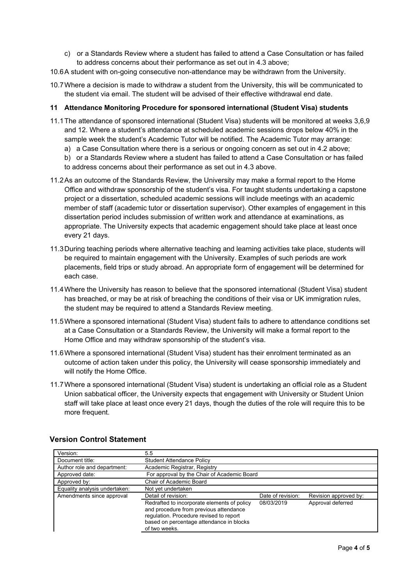- c) or a Standards Review where a student has failed to attend a Case Consultation or has failed to address concerns about their performance as set out in [4.3 above;](#page-0-2)
- 10.6A student with on-going consecutive non-attendance may be withdrawn from the University.
- 10.7Where a decision is made to withdraw a student from the University, this will be communicated to the student via email. The student will be advised of their effective withdrawal end date.

#### **11 Attendance Monitoring Procedure for sponsored international (Student Visa) students**

- 11.1The attendance of sponsored international (Student Visa) students will be monitored at weeks 3,6,9 and 12. Where a student's attendance at scheduled academic sessions drops below 40% in the sample week the student's Academic Tutor will be notified. The Academic Tutor may arrange:
	- a) a Case Consultation where there is a serious or ongoing concern as set out in 4.2 above;
	- b) or a Standards Review where a student has failed to attend a Case Consultation or has failed to address concerns about their performance as set out in 4.3 above.
- 11.2As an outcome of the Standards Review, the University may make a formal report to the Home Office and withdraw sponsorship of the student's visa. For taught students undertaking a capstone project or a dissertation, scheduled academic sessions will include meetings with an academic member of staff (academic tutor or dissertation supervisor). Other examples of engagement in this dissertation period includes submission of written work and attendance at examinations, as appropriate. The University expects that academic engagement should take place at least once every 21 days.
- 11.3During teaching periods where alternative teaching and learning activities take place, students will be required to maintain engagement with the University. Examples of such periods are work placements, field trips or study abroad. An appropriate form of engagement will be determined for each case.
- 11.4Where the University has reason to believe that the sponsored international (Student Visa) student has breached, or may be at risk of breaching the conditions of their visa or UK immigration rules, the student may be required to attend a Standards Review meeting.
- 11.5Where a sponsored international (Student Visa) student fails to adhere to attendance conditions set at a Case Consultation or a Standards Review, the University will make a formal report to the Home Office and may withdraw sponsorship of the student's visa.
- 11.6Where a sponsored international (Student Visa) student has their enrolment terminated as an outcome of action taken under this policy, the University will cease sponsorship immediately and will notify the Home Office.
- 11.7Where a sponsored international (Student Visa) student is undertaking an official role as a Student Union sabbatical officer, the University expects that engagement with University or Student Union staff will take place at least once every 21 days, though the duties of the role will require this to be more frequent.

| Version:                      | 5.5                                                                                                                                                                                           |                   |                       |  |
|-------------------------------|-----------------------------------------------------------------------------------------------------------------------------------------------------------------------------------------------|-------------------|-----------------------|--|
| Document title:               | <b>Student Attendance Policy</b>                                                                                                                                                              |                   |                       |  |
| Author role and department:   | Academic Registrar, Registry                                                                                                                                                                  |                   |                       |  |
| Approved date:                | For approval by the Chair of Academic Board                                                                                                                                                   |                   |                       |  |
| Approved by:                  | Chair of Academic Board                                                                                                                                                                       |                   |                       |  |
| Equality analysis undertaken: | Not yet undertaken                                                                                                                                                                            |                   |                       |  |
| Amendments since approval     | Detail of revision:                                                                                                                                                                           | Date of revision: | Revision approved by: |  |
|                               | Redrafted to incorporate elements of policy<br>and procedure from previous attendance<br>regulation. Procedure revised to report<br>based on percentage attendance in blocks<br>of two weeks. | 08/03/2019        | Approval deferred     |  |

# **Version Control Statement**